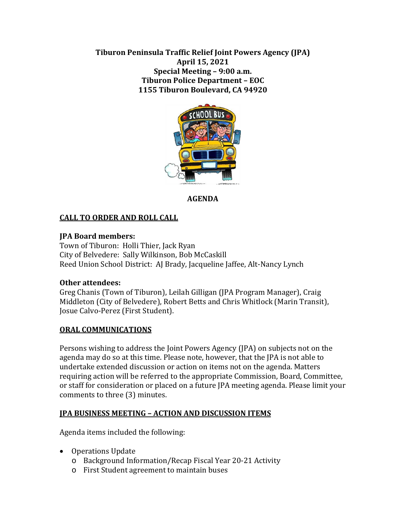**Tiburon Peninsula Traffic Relief Joint Powers Agency (JPA) April 15, 2021 Special Meeting – 9:00 a.m. Tiburon Police Department – EOC 1155 Tiburon Boulevard, CA 94920**



# **AGENDA**

# **CALL TO ORDER AND ROLL CALL**

### **JPA Board members:**

Town of Tiburon: Holli Thier, Jack Ryan City of Belvedere: Sally Wilkinson, Bob McCaskill Reed Union School District: AJ Brady, Jacqueline Jaffee, Alt-Nancy Lynch

### **Other attendees:**

Greg Chanis (Town of Tiburon), Leilah Gilligan (JPA Program Manager), Craig Middleton (City of Belvedere), Robert Betts and Chris Whitlock (Marin Transit), Josue Calvo-Perez (First Student).

#### **ORAL COMMUNICATIONS**

Persons wishing to address the Joint Powers Agency (JPA) on subjects not on the agenda may do so at this time. Please note, however, that the JPA is not able to undertake extended discussion or action on items not on the agenda. Matters requiring action will be referred to the appropriate Commission, Board, Committee, or staff for consideration or placed on a future JPA meeting agenda. Please limit your comments to three (3) minutes.

### **JPA BUSINESS MEETING – ACTION AND DISCUSSION ITEMS**

Agenda items included the following:

- Operations Update
	- o Background Information/Recap Fiscal Year 20-21 Activity
	- o First Student agreement to maintain buses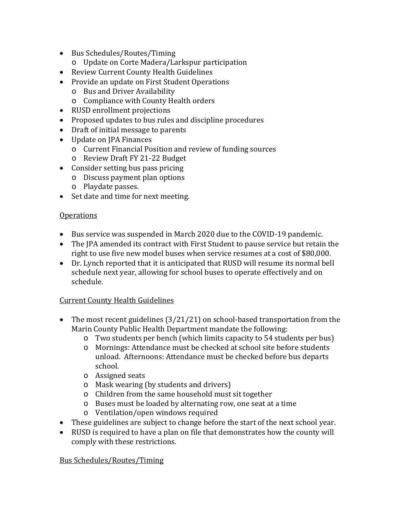- Bus Schedules/Routes/Timing
	- o Update on Corte Madera/Larkspur participation
- Review Current County Health Guidelines
- Provide an update on First Student Operations
	- o Bus and Driver Availability
	- o Compliance with County Health orders
- RUSD enrollment projections
- Proposed updates to bus rules and discipline procedures
- Draft of initial message to parents
- Update on JPA Finances
	- o Current Financial Position and review of funding sources
	- o Review Draft FY 21-22 Budget
- Consider setting bus pass pricing
	- o Discuss payment plan options
	- o Playdate passes.
- Set date and time for next meeting.

### **Operations**

- Bus service was suspended in March 2020 due to the COVID-19 pandemic.
- The JPA amended its contract with First Student to pause service but retain the right to use five new model buses when service resumes at a cost of \$80,000.
- Dr. Lynch reported that it is anticipated that RUSD will resume its normal bell schedule next year, allowing for school buses to operate effectively and on schedule.

### Current County Health Guidelines

- The most recent guidelines (3/21/21) on school-based transportation from the Marin County Public Health Department mandate the following:
	- o Two students per bench (which limits capacity to 54 students per bus)
	- o Mornings: Attendance must be checked at school site before students unload. Afternoons: Attendance must be checked before bus departs school.
	- o Assigned seats
	- o Mask wearing (by students and drivers)
	- o Children from the same household must sit together
	- o Buses must be loaded by alternating row, one seat at a time
	- o Ventilation/open windows required
- These guidelines are subject to change before the start of the next school year.
- RUSD is required to have a plan on file that demonstrates how the county will comply with these restrictions.

### Bus Schedules/Routes/Timing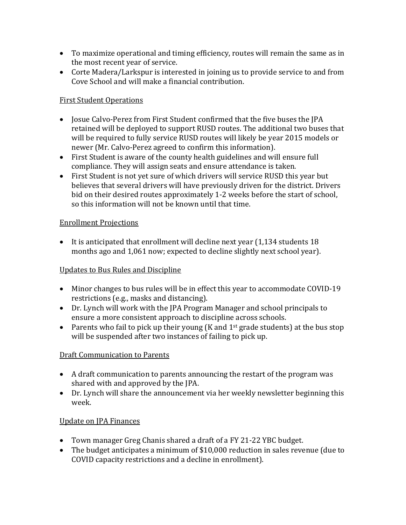- To maximize operational and timing efficiency, routes will remain the same as in the most recent year of service.
- Corte Madera/Larkspur is interested in joining us to provide service to and from Cove School and will make a financial contribution.

## First Student Operations

- Josue Calvo-Perez from First Student confirmed that the five buses the JPA retained will be deployed to support RUSD routes. The additional two buses that will be required to fully service RUSD routes will likely be year 2015 models or newer (Mr. Calvo-Perez agreed to confirm this information).
- First Student is aware of the county health guidelines and will ensure full compliance. They will assign seats and ensure attendance is taken.
- First Student is not yet sure of which drivers will service RUSD this year but believes that several drivers will have previously driven for the district. Drivers bid on their desired routes approximately 1-2 weeks before the start of school, so this information will not be known until that time.

### Enrollment Projections

• It is anticipated that enrollment will decline next year (1,134 students 18 months ago and 1,061 now; expected to decline slightly next school year).

### Updates to Bus Rules and Discipline

- Minor changes to bus rules will be in effect this year to accommodate COVID-19 restrictions (e.g., masks and distancing).
- Dr. Lynch will work with the JPA Program Manager and school principals to ensure a more consistent approach to discipline across schools.
- Parents who fail to pick up their young (K and  $1<sup>st</sup>$  grade students) at the bus stop will be suspended after two instances of failing to pick up.

### Draft Communication to Parents

- A draft communication to parents announcing the restart of the program was shared with and approved by the JPA.
- Dr. Lynch will share the announcement via her weekly newsletter beginning this week.

# Update on JPA Finances

- Town manager Greg Chanis shared a draft of a FY 21-22 YBC budget.
- The budget anticipates a minimum of \$10,000 reduction in sales revenue (due to COVID capacity restrictions and a decline in enrollment).